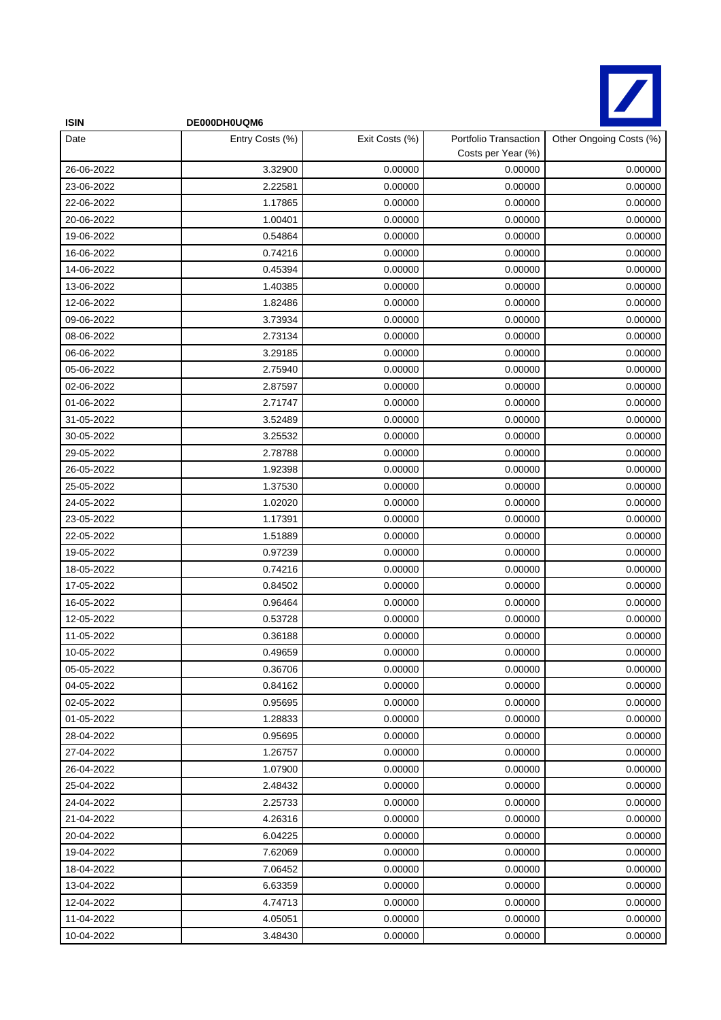

| <b>ISIN</b> | DE000DH0UQM6    |                |                                             |                         |
|-------------|-----------------|----------------|---------------------------------------------|-------------------------|
| Date        | Entry Costs (%) | Exit Costs (%) | Portfolio Transaction<br>Costs per Year (%) | Other Ongoing Costs (%) |
| 26-06-2022  | 3.32900         | 0.00000        | 0.00000                                     | 0.00000                 |
| 23-06-2022  | 2.22581         | 0.00000        | 0.00000                                     | 0.00000                 |
| 22-06-2022  | 1.17865         | 0.00000        | 0.00000                                     | 0.00000                 |
| 20-06-2022  | 1.00401         | 0.00000        | 0.00000                                     | 0.00000                 |
| 19-06-2022  | 0.54864         | 0.00000        | 0.00000                                     | 0.00000                 |
| 16-06-2022  | 0.74216         | 0.00000        | 0.00000                                     | 0.00000                 |
| 14-06-2022  | 0.45394         | 0.00000        | 0.00000                                     | 0.00000                 |
| 13-06-2022  | 1.40385         | 0.00000        | 0.00000                                     | 0.00000                 |
| 12-06-2022  | 1.82486         | 0.00000        | 0.00000                                     | 0.00000                 |
| 09-06-2022  | 3.73934         | 0.00000        | 0.00000                                     | 0.00000                 |
| 08-06-2022  | 2.73134         | 0.00000        | 0.00000                                     | 0.00000                 |
| 06-06-2022  | 3.29185         | 0.00000        | 0.00000                                     | 0.00000                 |
| 05-06-2022  | 2.75940         | 0.00000        | 0.00000                                     | 0.00000                 |
| 02-06-2022  | 2.87597         | 0.00000        | 0.00000                                     | 0.00000                 |
| 01-06-2022  | 2.71747         | 0.00000        | 0.00000                                     | 0.00000                 |
| 31-05-2022  | 3.52489         | 0.00000        | 0.00000                                     | 0.00000                 |
| 30-05-2022  | 3.25532         | 0.00000        | 0.00000                                     | 0.00000                 |
| 29-05-2022  | 2.78788         | 0.00000        | 0.00000                                     | 0.00000                 |
| 26-05-2022  | 1.92398         | 0.00000        | 0.00000                                     | 0.00000                 |
| 25-05-2022  | 1.37530         | 0.00000        | 0.00000                                     | 0.00000                 |
| 24-05-2022  | 1.02020         | 0.00000        | 0.00000                                     | 0.00000                 |
| 23-05-2022  | 1.17391         | 0.00000        | 0.00000                                     | 0.00000                 |
| 22-05-2022  | 1.51889         | 0.00000        | 0.00000                                     | 0.00000                 |
| 19-05-2022  | 0.97239         | 0.00000        | 0.00000                                     | 0.00000                 |
| 18-05-2022  | 0.74216         | 0.00000        | 0.00000                                     | 0.00000                 |
| 17-05-2022  | 0.84502         | 0.00000        | 0.00000                                     | 0.00000                 |
| 16-05-2022  | 0.96464         | 0.00000        | 0.00000                                     | 0.00000                 |
| 12-05-2022  | 0.53728         | 0.00000        | 0.00000                                     | 0.00000                 |
| 11-05-2022  | 0.36188         | 0.00000        | 0.00000                                     | 0.00000                 |
| 10-05-2022  | 0.49659         | 0.00000        | 0.00000                                     | 0.00000                 |
| 05-05-2022  | 0.36706         | 0.00000        | 0.00000                                     | 0.00000                 |
| 04-05-2022  | 0.84162         | 0.00000        | 0.00000                                     | 0.00000                 |
| 02-05-2022  | 0.95695         | 0.00000        | 0.00000                                     | 0.00000                 |
| 01-05-2022  | 1.28833         | 0.00000        | 0.00000                                     | 0.00000                 |
| 28-04-2022  | 0.95695         | 0.00000        | 0.00000                                     | 0.00000                 |
| 27-04-2022  | 1.26757         | 0.00000        | 0.00000                                     | 0.00000                 |
| 26-04-2022  | 1.07900         | 0.00000        | 0.00000                                     | 0.00000                 |
| 25-04-2022  | 2.48432         | 0.00000        | 0.00000                                     | 0.00000                 |
| 24-04-2022  | 2.25733         | 0.00000        | 0.00000                                     | 0.00000                 |
| 21-04-2022  | 4.26316         | 0.00000        | 0.00000                                     | 0.00000                 |
| 20-04-2022  | 6.04225         | 0.00000        | 0.00000                                     | 0.00000                 |
| 19-04-2022  | 7.62069         | 0.00000        | 0.00000                                     | 0.00000                 |
| 18-04-2022  | 7.06452         | 0.00000        | 0.00000                                     | 0.00000                 |
| 13-04-2022  | 6.63359         | 0.00000        | 0.00000                                     | 0.00000                 |
| 12-04-2022  | 4.74713         | 0.00000        | 0.00000                                     | 0.00000                 |
| 11-04-2022  | 4.05051         | 0.00000        | 0.00000                                     | 0.00000                 |
| 10-04-2022  | 3.48430         | 0.00000        | 0.00000                                     | 0.00000                 |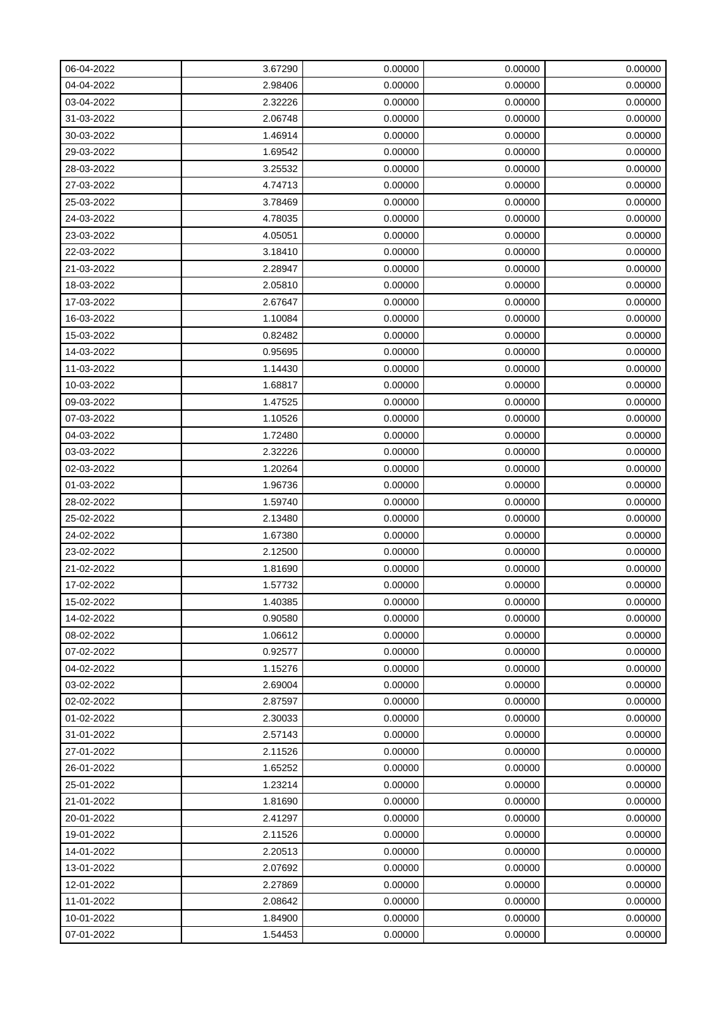| 06-04-2022 | 3.67290 | 0.00000 | 0.00000 | 0.00000 |
|------------|---------|---------|---------|---------|
| 04-04-2022 | 2.98406 | 0.00000 | 0.00000 | 0.00000 |
| 03-04-2022 | 2.32226 | 0.00000 | 0.00000 | 0.00000 |
| 31-03-2022 | 2.06748 | 0.00000 | 0.00000 | 0.00000 |
| 30-03-2022 | 1.46914 | 0.00000 | 0.00000 | 0.00000 |
| 29-03-2022 | 1.69542 | 0.00000 | 0.00000 | 0.00000 |
| 28-03-2022 | 3.25532 | 0.00000 | 0.00000 | 0.00000 |
| 27-03-2022 | 4.74713 | 0.00000 | 0.00000 | 0.00000 |
| 25-03-2022 | 3.78469 | 0.00000 | 0.00000 | 0.00000 |
| 24-03-2022 | 4.78035 | 0.00000 | 0.00000 | 0.00000 |
| 23-03-2022 | 4.05051 | 0.00000 | 0.00000 | 0.00000 |
| 22-03-2022 | 3.18410 | 0.00000 | 0.00000 | 0.00000 |
| 21-03-2022 | 2.28947 | 0.00000 | 0.00000 | 0.00000 |
| 18-03-2022 | 2.05810 | 0.00000 | 0.00000 | 0.00000 |
| 17-03-2022 | 2.67647 | 0.00000 | 0.00000 | 0.00000 |
| 16-03-2022 | 1.10084 | 0.00000 | 0.00000 | 0.00000 |
| 15-03-2022 | 0.82482 | 0.00000 | 0.00000 | 0.00000 |
| 14-03-2022 | 0.95695 | 0.00000 | 0.00000 | 0.00000 |
| 11-03-2022 | 1.14430 | 0.00000 | 0.00000 | 0.00000 |
| 10-03-2022 | 1.68817 | 0.00000 | 0.00000 | 0.00000 |
| 09-03-2022 | 1.47525 | 0.00000 | 0.00000 | 0.00000 |
| 07-03-2022 | 1.10526 | 0.00000 | 0.00000 | 0.00000 |
| 04-03-2022 | 1.72480 | 0.00000 | 0.00000 | 0.00000 |
| 03-03-2022 | 2.32226 | 0.00000 | 0.00000 | 0.00000 |
| 02-03-2022 | 1.20264 | 0.00000 | 0.00000 | 0.00000 |
| 01-03-2022 | 1.96736 | 0.00000 | 0.00000 | 0.00000 |
| 28-02-2022 | 1.59740 | 0.00000 | 0.00000 | 0.00000 |
| 25-02-2022 | 2.13480 | 0.00000 | 0.00000 | 0.00000 |
| 24-02-2022 | 1.67380 | 0.00000 | 0.00000 | 0.00000 |
| 23-02-2022 | 2.12500 | 0.00000 | 0.00000 | 0.00000 |
| 21-02-2022 | 1.81690 | 0.00000 | 0.00000 | 0.00000 |
| 17-02-2022 | 1.57732 | 0.00000 | 0.00000 | 0.00000 |
| 15-02-2022 | 1.40385 | 0.00000 | 0.00000 | 0.00000 |
| 14-02-2022 | 0.90580 | 0.00000 | 0.00000 | 0.00000 |
| 08-02-2022 | 1.06612 | 0.00000 | 0.00000 | 0.00000 |
| 07-02-2022 | 0.92577 | 0.00000 | 0.00000 | 0.00000 |
| 04-02-2022 | 1.15276 | 0.00000 | 0.00000 | 0.00000 |
| 03-02-2022 | 2.69004 | 0.00000 | 0.00000 | 0.00000 |
| 02-02-2022 | 2.87597 | 0.00000 | 0.00000 | 0.00000 |
| 01-02-2022 | 2.30033 | 0.00000 | 0.00000 | 0.00000 |
| 31-01-2022 | 2.57143 | 0.00000 | 0.00000 | 0.00000 |
| 27-01-2022 | 2.11526 | 0.00000 | 0.00000 | 0.00000 |
| 26-01-2022 | 1.65252 | 0.00000 | 0.00000 | 0.00000 |
| 25-01-2022 | 1.23214 | 0.00000 | 0.00000 | 0.00000 |
| 21-01-2022 | 1.81690 | 0.00000 | 0.00000 | 0.00000 |
| 20-01-2022 | 2.41297 | 0.00000 | 0.00000 | 0.00000 |
| 19-01-2022 | 2.11526 | 0.00000 | 0.00000 | 0.00000 |
| 14-01-2022 | 2.20513 | 0.00000 | 0.00000 | 0.00000 |
| 13-01-2022 | 2.07692 | 0.00000 | 0.00000 | 0.00000 |
| 12-01-2022 | 2.27869 | 0.00000 | 0.00000 | 0.00000 |
| 11-01-2022 | 2.08642 | 0.00000 | 0.00000 | 0.00000 |
| 10-01-2022 | 1.84900 | 0.00000 | 0.00000 | 0.00000 |
| 07-01-2022 | 1.54453 | 0.00000 | 0.00000 | 0.00000 |